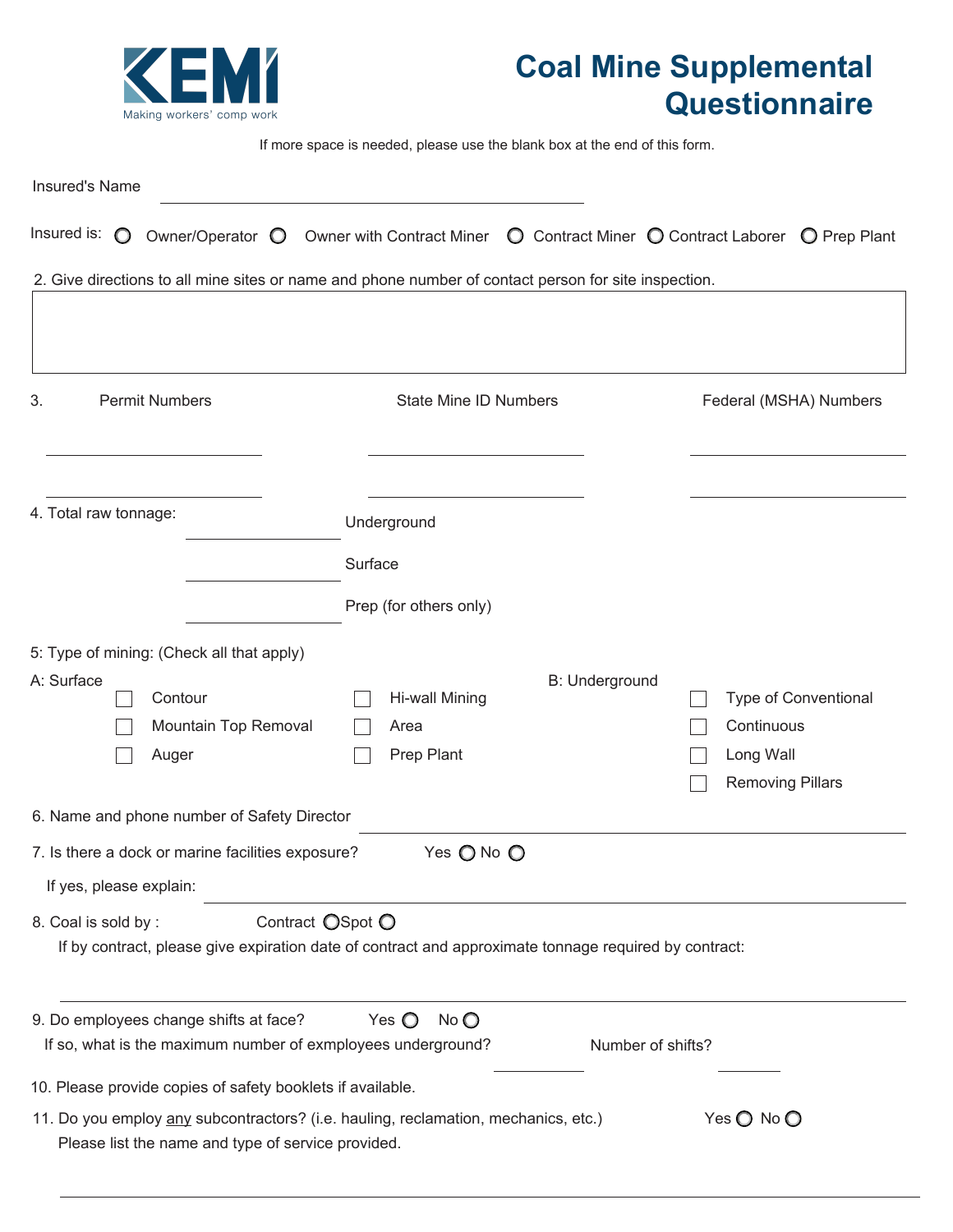

## **Coal Mine Supplemental Questionnaire**

If more space is needed, please use the blank box at the end of this form.

| <b>Insured's Name</b>                                                                                            |                                                                                                                                 |                                                                            |
|------------------------------------------------------------------------------------------------------------------|---------------------------------------------------------------------------------------------------------------------------------|----------------------------------------------------------------------------|
| Insured is: $\bigcirc$                                                                                           | Owner/Operator $\bigcirc$ Owner with Contract Miner $\bigcirc$ Contract Miner $\bigcirc$ Contract Laborer $\bigcirc$ Prep Plant |                                                                            |
|                                                                                                                  | 2. Give directions to all mine sites or name and phone number of contact person for site inspection.                            |                                                                            |
| <b>Permit Numbers</b><br>3.                                                                                      | <b>State Mine ID Numbers</b>                                                                                                    | Federal (MSHA) Numbers                                                     |
| 4. Total raw tonnage:                                                                                            | Underground<br>Surface<br>Prep (for others only)                                                                                |                                                                            |
| 5: Type of mining: (Check all that apply)<br>A: Surface<br>Contour<br>Mountain Top Removal<br>Auger              | <b>B: Underground</b><br>Hi-wall Mining<br>Area<br>Prep Plant                                                                   | Type of Conventional<br>Continuous<br>Long Wall<br><b>Removing Pillars</b> |
| 6. Name and phone number of Safety Director                                                                      |                                                                                                                                 |                                                                            |
| 7. Is there a dock or marine facilities exposure?<br>If yes, please explain:                                     | Yes O No O                                                                                                                      |                                                                            |
| 8. Coal is sold by:                                                                                              | Contract OSpot O<br>If by contract, please give expiration date of contract and approximate tonnage required by contract:       |                                                                            |
| 9. Do employees change shifts at face?                                                                           | Yes $\bigcirc$<br>$No$ $O$<br>If so, what is the maximum number of exmployees underground?                                      | Number of shifts?                                                          |
| 10. Please provide copies of safety booklets if available.<br>Please list the name and type of service provided. | 11. Do you employ any subcontractors? (i.e. hauling, reclamation, mechanics, etc.)                                              | Yes O No O                                                                 |